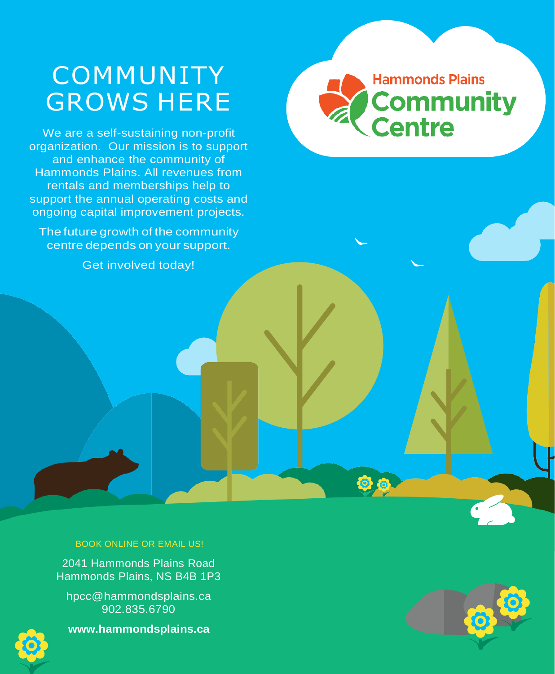## COMMUNITY GROWS HERE

We are a self-sustaining non-profit organization. Our mission is to support and enhance the community of Hammonds Plains. All revenues from rentals and memberships help to support the annual operating costs and ongoing capital improvement projects.

The future growth of the community centre depends on your support.

Get involved today!

#### BOOK ONLINE OR EMAIL US!

2041 Hammonds Plains Road Hammonds Plains, NS B4B 1P3

[hpcc@hammondsplains.ca](mailto:hpcc@hammondsplains.ca) 902.835.6790



**[www.hammondsplains.ca](http://www.hammondsplains.ca/)**